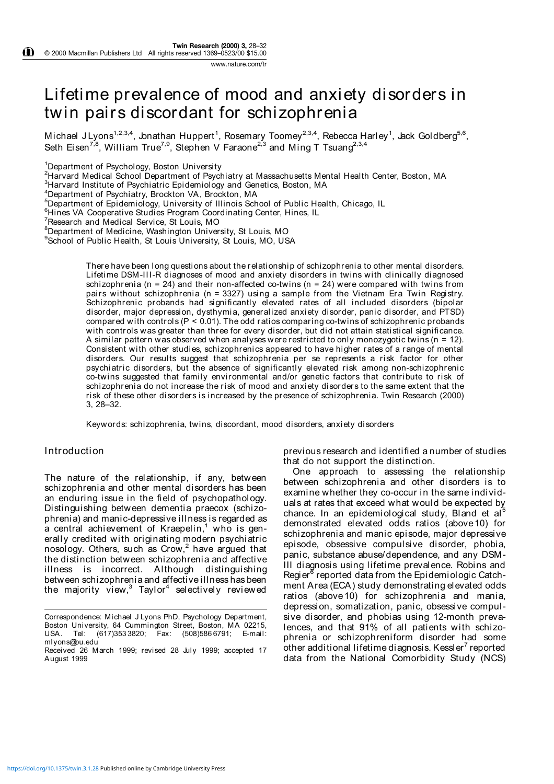#### www.nature.com/tr

# Lifetime prevalence of mood and anxiety disorders in twin pairs discordant for schizophrenia

Michael JLyons<sup>1,2,3,4</sup>, Jonathan Huppert<sup>1</sup>, Rosemary Toomey<sup>2,3,4</sup>, Rebecca Harley<sup>1</sup>, Jack Goldberg<sup>5,6</sup>, Seth Eisen<sup>7,8</sup>, William True<sup>7,9</sup>, Stephen V Faraone<sup>2,3</sup> and Ming T Tsuang<sup>2,3,4</sup>

<sup>1</sup>Department of Psychology, Boston University

<sup>2</sup>Harvard Medical School Department of Psychiatry at Massachusetts Mental Health Center, Boston, MA

<sup>3</sup>Harvard Institute of Psychiatric Epidemiology and Genetics, Boston, MA

4 Department of Psychiatry, Brockton VA, Brockton, MA

<sup>5</sup>Department of Epidemiology, University of Illinois School of Public Health, Chicago, IL

6 Hines VA Cooperative Studies Program Coordinating Center, Hines, IL

7 Research and Medical Service, St Louis, MO

8 Department of Medicine, Washington University, St Louis, MO

9 School of Public Health, St Louis University, St Louis, MO, USA

There have been long questions about the relationship of schizophrenia to other mental disorders. Lifetime DSM-III-R diagnoses of mood and anxiety disorders in twins with clinically diagnosed schizophrenia ( $n = 24$ ) and their non-affected co-twins ( $n = 24$ ) were compared with twins from pairs without schizophrenia (n = 3327) using a sample from the Vietnam Era Twin Registry. Schizophrenic probands had significantly elevated rates of all included disorders (bipolar disorder, major depression, dysthymia, generalized anxiety disorder, panic disorder, and PTSD) compared with controls (P < 0.01). The odd ratios comparing co-twins of schizophrenic probands with controls was greater than three for every disorder, but did not attain statistical significance. A similar pattern was observed when analyses were restricted to only monozygotic twins  $(n = 12)$ . Consistent with other studies, schizophrenics appeared to have higher rates of a range of mental disorders. Our results suggest that schizophrenia per se represents a risk factor for other psychiatric disorders, but the absence of significantly elevated risk among non-schizophrenic co-twins suggested that family environmental and/or genetic factors that contribute to risk of schizophrenia do not increase the risk of mood and anxiety disorders to the same extent that the risk of these other disorders is increased by the presence of schizophrenia. Twin Research (2000) 3, 28–32.

Keywords: schizophrenia, twins, discordant, mood disorders, anxiety disorders

#### Introduction

The nature of the relationship, if any, between schizophrenia and other mental disorders has been an enduring issue in the field of psychopathology. Distinguishing between dementia praecox (schizophrenia) and manic-depressive illness is regarded as a central achievement of Kraepelin, $1$  who is generally credited with originating modern psychiatric nosology. Others, such as Crow, $^2$  have argued that the distinction between schizophrenia and affective illness is incorrect. Although distinguishing between schizophrenia and affective illness has been the majority  $\mathsf{view},^3$  Taylor $^4$  selectively reviewed

previous research and identified a number of studies that do not support the distinction.

One approach to assessing the relationship between schizophrenia and other disorders is to examine whether they co-occur in the same individuals at rates that exceed what would be expected by chance. In an epidemiological study, Bland et al<sup> $5$ </sup> demonstrated elevated odds ratios (above10) for schizophrenia and manic episode, major depressive episode, obsessive compulsive disorder, phobia, panic, substance abuse/dependence, and any DSM-III diagnosis using lifetime prevalence. Robins and Regier<sup>6</sup> reported data from the Epidemiologic Catchment Area (ECA) study demonstrating elevated odds ratios (above10) for schizophrenia and mania, depression, somatization, panic, obsessive compulsive disorder, and phobias using 12-month prevalences, and that 91% of all patients with schizophrenia or schizophreniform disorder had some other additional lifetime diagnosis. Kessler<sup>7</sup> reported data from the National Comorbidity Study (NCS)

Correspondence: Michael J Lyons PhD, Psychology Department, Boston University, 64 Cummington Street, Boston, MA 02215, USA. Tel: (617)353 3820; Fax: (508)586 6791; E-mail: mlyons@bu.edu

Received 26 March 1999; revised 28 July 1999; accepted 17 August 1999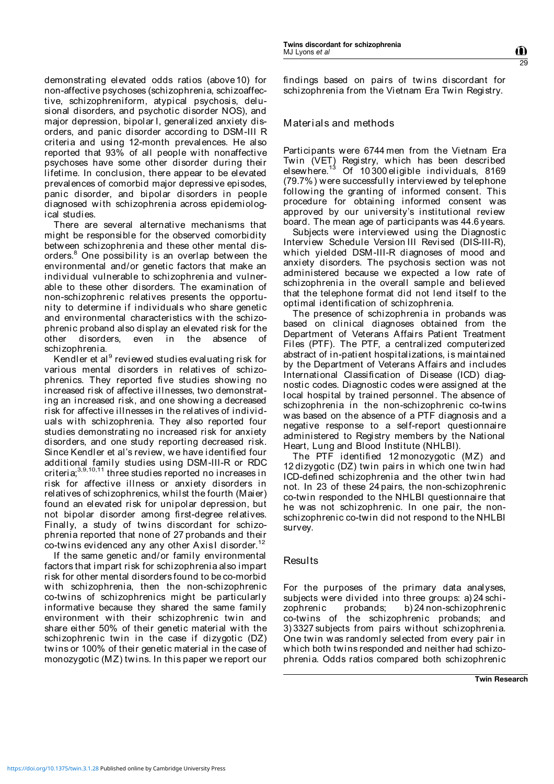demonstrating elevated odds ratios (above10) for non-affective psychoses (schizophrenia, schizoaffective, schizophreniform, atypical psychosis, delusional disorders, and psychotic disorder NOS), and major depression, bipolar I, generalized anxiety disorders, and panic disorder according to DSM-III R criteria and using 12-month prevalences. He also reported that 93% of all people with nonaffective psychoses have some other disorder during their lifetime. In conclusion, there appear to be elevated prevalences of comorbid major depressive episodes, panic disorder, and bipolar disorders in people diagnosed with schizophrenia across epidemiological studies.

There are several alternative mechanisms that might be responsible for the observed comorbidity between schizophrenia and these other mental disorders.<sup>8</sup> One possibility is an overlap between the environmental and/or genetic factors that make an individual vulnerable to schizophrenia and vulnerable to these other disorders. The examination of non-schizophrenic relatives presents the opportunity to determine if individuals who share genetic and environmental characteristics with the schizophrenic proband also display an elevated risk for the other disorders, even in the absence of schizophrenia.

Kendler et al<sup>9</sup> reviewed studies evaluating risk for various mental disorders in relatives of schizophrenics. They reported five studies showing no increased risk of affective illnesses, two demonstrating an increased risk, and one showing a decreased risk for affective illnesses in the relatives of individuals with schizophrenia. They also reported four studies demonstrating no increased risk for anxiety disorders, and one study reporting decreased risk. Since Kendler et al's review, we have identified four additional family studies using DSM-III-R or RDC criteria;<sup>3,9,10,11</sup> three studies reported no increases in risk for affective illness or anxiety disorders in relatives of schizophrenics, whilst the fourth (Maier) found an elevated risk for unipolar depression, but not bipolar disorder among first-degree relatives. Finally, a study of twins discordant for schizophrenia reported that none of 27 probands and their co-twins evidenced any any other AxisI disorder.<sup>12</sup>

If the same genetic and/or family environmental factors that impart risk for schizophrenia also impart risk for other mental disorders found to be co-morbid with schizophrenia, then the non-schizophrenic co-twins of schizophrenics might be particularly informative because they shared the same family environment with their schizophrenic twin and share either 50% of their genetic material with the schizophrenic twin in the case if dizygotic (DZ) twins or 100% of their genetic material in the case of monozygotic (MZ) twins. In this paper we report our

findings based on pairs of twins discordant for schizophrenia from the Vietnam Era Twin Registry.

#### Materials and methods

Participants were 6744 men from the Vietnam Era Twin (VET) Registry, which has been described elsewhere.<sup>13</sup> Of 10300 eligible individuals, 8169 (79.7%) were successfully interviewed by telephone following the granting of informed consent. This procedure for obtaining informed consent was approved by our university's institutional review board. The mean age of participants was 44.6 years.

Subjects were interviewed using the Diagnostic Interview Schedule Version III Revised (DIS-III-R), which yielded DSM-III-R diagnoses of mood and anxiety disorders. The psychosis section was not administered because we expected a low rate of schizophrenia in the overall sample and believed that the telephone format did not lend itself to the optimal identification of schizophrenia.

The presence of schizophrenia in probands was based on clinical diagnoses obtained from the Department of Veterans Affairs Patient Treatment Files (PTF). The PTF, a centralized computerized abstract of in-patient hospitalizations, is maintained by the Department of Veterans Affairs and includes International Classification of Disease (ICD) diagnostic codes. Diagnostic codes were assigned at the local hospital by trained personnel. The absence of schizophrenia in the non-schizophrenic co-twins was based on the absence of a PTF diagnosis and a negative response to a self-report questionnaire administered to Registry members by the National Heart, Lung and Blood Institute (NHLBI).

The PTF identified 12 monozygotic (MZ) and 12 dizygotic (DZ) twin pairs in which one twin had ICD-defined schizophrenia and the other twin had not. In 23 of these 24 pairs, the non-schizophrenic co-twin responded to the NHLBI questionnaire that he was not schizophrenic. In one pair, the nonschizophrenic co-twin did not respond to the NHLBI survey.

### Results

For the purposes of the primary data analyses, subjects were divided into three groups: a) 24 schizophrenic probands; b) 24 non-schizophrenic co-twins of the schizophrenic probands; and 3) 3327 subjects from pairs without schizophrenia. One twin was randomly selected from every pair in which both twins responded and neither had schizophrenia. Odds ratios compared both schizophrenic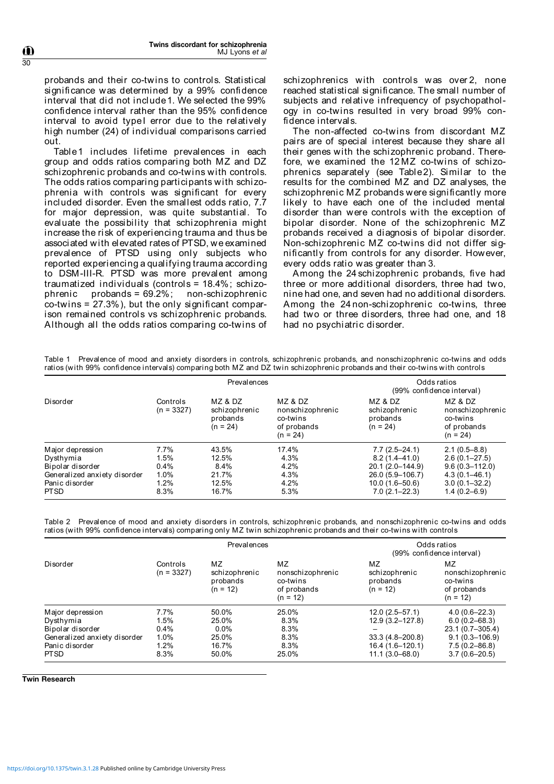probands and their co-twins to controls. Statistical significance was determined by a 99% confidence interval that did not include1. We selected the 99% confidence interval rather than the 95% confidence interval to avoid typeI error due to the relatively high number (24) of individual comparisons carried out.

Table1 includes lifetime prevalences in each group and odds ratios comparing both MZ and DZ schizophrenic probands and co-twins with controls. The odds ratios comparing participants with schizophrenia with controls was significant for every included disorder. Even the smallest odds ratio, 7.7 for major depression, was quite substantial. To evaluate the possibility that schizophrenia might increase the risk of experiencing trauma and thus be associated with elevated rates of PTSD, we examined prevalence of PTSD using only subjects who reported experiencing a qualifying trauma according to DSM-III-R. PTSD was more prevalent among traumatized individuals (controls = 18.4%; schizophrenic probands = 69.2%; non-schizophrenic co-twins = 27.3%), but the only significant comparison remained controls vs schizophrenic probands. Although all the odds ratios comparing co-twins of schizophrenics with controls was over 2, none reached statistical significance. The small number of subjects and relative infrequency of psychopathology in co-twins resulted in very broad 99% confidence intervals.

The non-affected co-twins from discordant MZ pairs are of special interest because they share all their genes with the schizophrenic proband. Therefore, we examined the 12 MZ co-twins of schizophrenics separately (see Table2). Similar to the results for the combined MZ and DZ analyses, the schizophrenic MZ probands were significantly more likely to have each one of the included mental disorder than were controls with the exception of bipolar disorder. None of the schizophrenic MZ probands received a diagnosis of bipolar disorder. Non-schizophrenic MZ co-twins did not differ significantly from controls for any disorder. However, every odds ratio was greater than 3.

Among the 24 schizophrenic probands, five had three or more additional disorders, three had two, nine had one, and seven had no additional disorders. Among the 24 non-schizophrenic co-twins, three had two or three disorders, three had one, and 18 had no psychiatric disorder.

Table 1 Prevalence of mood and anxiety disorders in controls, schizophrenic probands, and nonschizophrenic co-twins and odds ratios (with 99% confidence intervals) comparing both MZ and DZ twin schizophrenic probands and their co-twins with controls

| Disorder                     | Prevalences              |                                                    |                                                                      | Odds ratios<br>(99% confidence interval)           |                                                                      |
|------------------------------|--------------------------|----------------------------------------------------|----------------------------------------------------------------------|----------------------------------------------------|----------------------------------------------------------------------|
|                              | Controls<br>$(n = 3327)$ | MZ & DZ<br>schizophrenic<br>probands<br>$(n = 24)$ | MZ & DZ<br>nonschizophrenic<br>co-twins<br>of probands<br>$(n = 24)$ | MZ & DZ<br>schizophrenic<br>probands<br>$(n = 24)$ | MZ & DZ<br>nonschizophrenic<br>co-twins<br>of probands<br>$(n = 24)$ |
| Major depression             | 7.7%                     | 43.5%                                              | 17.4%                                                                | $7.7(2.5 - 24.1)$                                  | $2.1(0.5 - 8.8)$                                                     |
| Dysthymia                    | 1.5%                     | 12.5%                                              | 4.3%                                                                 | $8.2(1.4 - 41.0)$                                  | $2.6(0.1 - 27.5)$                                                    |
| Bipolar disorder             | 0.4%                     | 8.4%                                               | 4.2%                                                                 | $20.1(2.0-144.9)$                                  | $9.6(0.3 - 112.0)$                                                   |
| Generalized anxiety disorder | 1.0%                     | 21.7%                                              | 4.3%                                                                 | 26.0 (5.9–106.7)                                   | $4.3(0.1 - 46.1)$                                                    |
| Panic disorder               | 1.2%                     | 12.5%                                              | 4.2%                                                                 | $10.0(1.6 - 50.6)$                                 | $3.0(0.1 - 32.2)$                                                    |
| <b>PTSD</b>                  | 8.3%                     | 16.7%                                              | 5.3%                                                                 | $7.0(2.1 - 22.3)$                                  | $1.4(0.2 - 6.9)$                                                     |

Table 2 Prevalence of mood and anxiety disorders in controls, schizophrenic probands, and nonschizophrenic co-twins and odds ratios (with 99% confidence intervals) comparing only MZ twin schizophrenic probands and their co-twins with controls

| Disorder                     | Prevalences              |                                               |                                                                 | Odds ratios<br>(99% confidence interval)       |                                                                 |
|------------------------------|--------------------------|-----------------------------------------------|-----------------------------------------------------------------|------------------------------------------------|-----------------------------------------------------------------|
|                              | Controls<br>$(n = 3327)$ | MZ<br>schizophrenic<br>probands<br>$(n = 12)$ | MZ<br>nonschizophrenic<br>co-twins<br>of probands<br>$(n = 12)$ | MZ.<br>schizophrenic<br>probands<br>$(n = 12)$ | MZ<br>nonschizophrenic<br>co-twins<br>of probands<br>$(n = 12)$ |
| Major depression             | 7.7%                     | 50.0%                                         | 25.0%                                                           | $12.0(2.5 - 57.1)$                             | $4.0(0.6 - 22.3)$                                               |
| Dysthymia                    | 1.5%                     | 25.0%                                         | 8.3%                                                            | $12.9(3.2 - 127.8)$                            | $6.0(0.2 - 68.3)$                                               |
| Bipolar disorder             | $0.4\%$                  | $0.0\%$                                       | 8.3%                                                            |                                                | $23.1(0.7 - 305.4)$                                             |
| Generalized anxiety disorder | 1.0%                     | 25.0%                                         | 8.3%                                                            | $33.3(4.8 - 200.8)$                            | $9.1(0.3 - 106.9)$                                              |
| Panic disorder               | 1.2%                     | 16.7%                                         | 8.3%                                                            | 16.4 (1.6-120.1)                               | $7.5(0.2 - 86.8)$                                               |
| <b>PTSD</b>                  | 8.3%                     | 50.0%                                         | 25.0%                                                           | $11.1(3.0 - 68.0)$                             | $3.7(0.6 - 20.5)$                                               |

**Twin Research**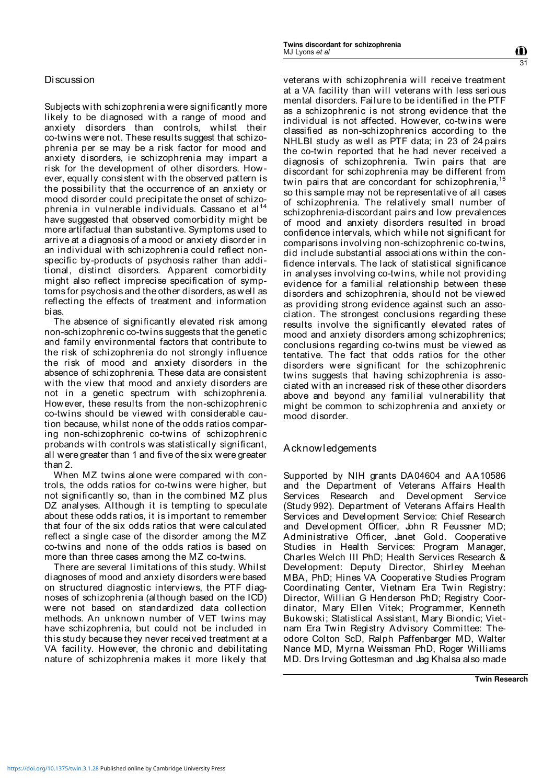# Discussion

Subjects with schizophrenia were significantly more likely to be diagnosed with a range of mood and anxiety disorders than controls, whilst their co-twins were not. These results suggest that schizophrenia per se may be a risk factor for mood and anxiety disorders, ie schizophrenia may impart a risk for the development of other disorders. However, equally consistent with the observed pattern is the possibility that the occurrence of an anxiety or mood disorder could precipitate the onset of schizophrenia in vulnerable individuals. Cassano et al<sup>1</sup> have suggested that observed comorbidity might be more artifactual than substantive. Symptoms used to arrive at a diagnosis of a mood or anxiety disorder in an individual with schizophrenia could reflect nonspecific by-products of psychosis rather than additional, distinct disorders. Apparent comorbidity might also reflect imprecise specification of symptoms for psychosis and the other disorders, as well as reflecting the effects of treatment and information bias.

The absence of significantly elevated risk among non-schizophrenic co-twins suggests that the genetic and family environmental factors that contribute to the risk of schizophrenia do not strongly influence the risk of mood and anxiety disorders in the absence of schizophrenia. These data are consistent with the view that mood and anxiety disorders are not in a genetic spectrum with schizophrenia. However, these results from the non-schizophrenic co-twins should be viewed with considerable caution because, whilst none of the odds ratios comparing non-schizophrenic co-twins of schizophrenic probands with controls was statistically significant, all were greater than 1 and five of the six were greater than 2.

When MZ twins alone were compared with controls, the odds ratios for co-twins were higher, but not significantly so, than in the combined MZ plus DZ analyses. Although it is tempting to speculate about these odds ratios, it is important to remember that four of the six odds ratios that were calculated reflect a single case of the disorder among the MZ co-twins and none of the odds ratios is based on more than three cases among the MZ co-twins.

There are several limitations of this study. Whilst diagnoses of mood and anxiety disorders were based on structured diagnostic interviews, the PTF diagnoses of schizophrenia (although based on the ICD) were not based on standardized data collection methods. An unknown number of VET twins may have schizophrenia, but could not be included in this study because they never received treatment at a VA facility. However, the chronic and debilitating nature of schizophrenia makes it more likely that

veterans with schizophrenia will receive treatment at a VA facility than will veterans with less serious mental disorders. Failure to be identified in the PTF as a schizophrenic is not strong evidence that the individual is not affected. However, co-twins were classified as non-schizophrenics according to the NHLBI study as well as PTF data; in 23 of 24 pairs the co-twin reported that he had never received a diagnosis of schizophrenia. Twin pairs that are discordant for schizophrenia may be different from twin pairs that are concordant for schizophrenia,<sup>1</sup> so this sample may not be representative of all cases of schizophrenia. The relatively small number of schizophrenia-discordant pairs and low prevalences of mood and anxiety disorders resulted in broad confidence intervals, which while not significant for comparisons involving non-schizophrenic co-twins, did include substantial associations within the confidence intervals. The lack of statistical significance in analyses involving co-twins, while not providing evidence for a familial relationship between these disorders and schizophrenia, should not be viewed as providing strong evidence against such an association. The strongest conclusions regarding these results involve the significantly elevated rates of mood and anxiety disorders among schizophrenics; conclusions regarding co-twins must be viewed as tentative. The fact that odds ratios for the other disorders were significant for the schizophrenic twins suggests that having schizophrenia is associated with an increased risk of these other disorders above and beyond any familial vulnerability that might be common to schizophrenia and anxiety or mood disorder.

### Acknowledgements

Supported by NIH grants DA04604 and AA10586 and the Department of Veterans Affairs Health Services Research and Development Service (Study 992). Department of Veterans Affairs Health Services and Development Service: Chief Research and Development Officer, John R Feussner MD; Administrative Officer, Janet Gold. Cooperative Studies in Health Services: Program Manager, Charles Welch III PhD; Health Services Research & Development: Deputy Director, Shirley Meehan MBA, PhD; Hines VA Cooperative Studies Program Coordinating Center, Vietnam Era Twin Registry: Director, Willian G Henderson PhD; Registry Coordinator, Mary Ellen Vitek; Programmer, Kenneth Bukowski; Statistical Assistant, Mary Biondic; Vietnam Era Twin Registry Advisory Committee: Theodore Colton ScD, Ralph Paffenbarger MD, Walter Nance MD, Myrna Weissman PhD, Roger Williams MD. Drs Irving Gottesman and Jag Khalsa also made

31